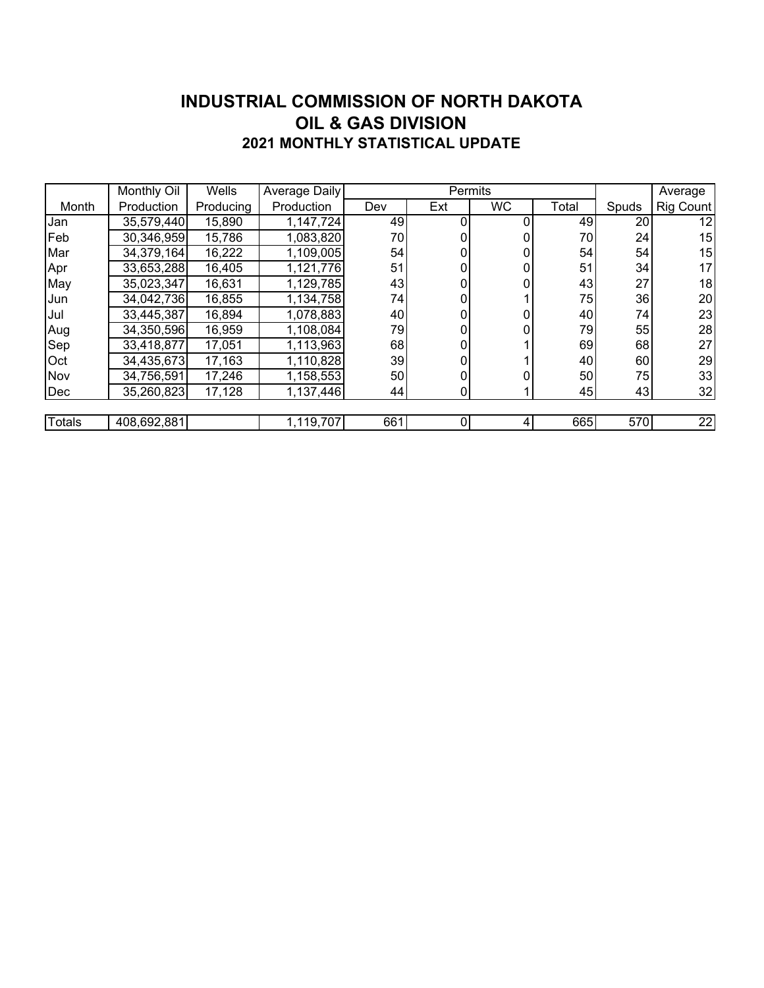#### **INDUSTRIAL COMMISSION OF NORTH DAKOTA 2021 MONTHLY STATISTICAL UPDATE OIL & GAS DIVISION**

|        | Monthly Oil | Wells     | Average Daily |     | Permits |           |       | Average |           |
|--------|-------------|-----------|---------------|-----|---------|-----------|-------|---------|-----------|
| Month  | Production  | Producing | Production    | Dev | Ext     | <b>WC</b> | Total | Spuds   | Rig Count |
| Jan    | 35,579,440  | 15,890    | 1,147,724     | 49  |         |           | 49    | 20      | 12        |
| Feb    | 30,346,959  | 15,786    | 1,083,820     | 70  | 0       |           | 70    | 24      | 15        |
| Mar    | 34,379,164  | 16,222    | 1,109,005     | 54  | 0       |           | 54    | 54      | 15        |
| Apr    | 33,653,288  | 16,405    | 1,121,776     | 51  | 0       |           | 51    | 34      | 17        |
| May    | 35,023,347  | 16,631    | 1,129,785     | 43  | 0       |           | 43    | 27      | 18        |
| Jun    | 34,042,736  | 16,855    | 1,134,758     | 74  |         |           | 75    | 36      | 20        |
| Jul    | 33,445,387  | 16,894    | 1,078,883     | 40  | 0       |           | 40    | 74      | 23        |
| Aug    | 34,350,596  | 16,959    | 1,108,084     | 79  | 0       |           | 79    | 55      | 28        |
| Sep    | 33,418,877  | 17,051    | 1,113,963     | 68  | 0       |           | 69    | 68      | 27        |
| Oct    | 34,435,673  | 17,163    | 1,110,828     | 39  | 0       |           | 40    | 60      | 29        |
| Nov    | 34,756,591  | 17,246    | 1,158,553     | 50  | 0       |           | 50    | 75      | 33        |
| Dec    | 35,260,823  | 17,128    | 1,137,446     | 44  | 0       |           | 45    | 43      | 32        |
|        |             |           |               |     |         |           |       |         |           |
| Totals | 408,692,881 |           | 1,119,707     | 661 | 0       | 4         | 665   | 570     | 22        |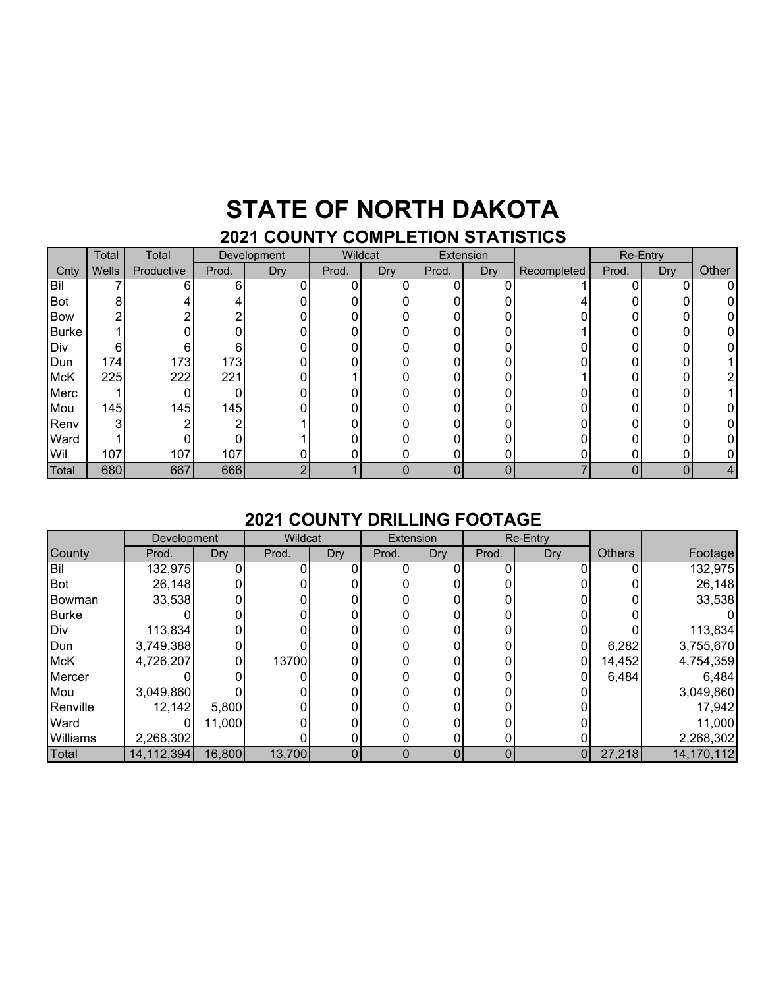## **STATE OF NORTH DAKOTA**

### **2021 COUNTY COMPLETION STATISTICS**

|              | Total | Total      | Development |     | Wildcat |     | Extension |            |             | Re-Entry |     |       |
|--------------|-------|------------|-------------|-----|---------|-----|-----------|------------|-------------|----------|-----|-------|
| Cnty         | Wells | Productive | Prod.       | Dry | Prod.   | Dry | Prod.     | <b>Dry</b> | Recompleted | Prod.    | Dry | Other |
| Bil          |       |            | 6           |     | 0       |     |           |            |             |          |     |       |
| Bot          |       |            |             |     |         |     |           |            |             |          |     |       |
| <b>Bow</b>   |       |            |             |     |         |     |           |            |             |          |     |       |
| <b>Burke</b> |       |            |             |     |         |     | ∩         |            |             |          |     |       |
| Div          | 6     |            | 6           |     |         |     |           |            |             |          |     |       |
| Dun          | 174   | 173        | 173         |     |         |     |           |            |             |          |     |       |
| <b>McK</b>   | 225   | 222        | 221         |     |         |     |           |            |             |          |     |       |
| Merc         |       |            |             |     |         |     | ∩         |            |             |          |     |       |
| Mou          | 145   | 145        | 145         |     |         |     |           |            |             |          |     |       |
| Renv         |       |            |             |     |         |     | ∩         |            |             |          |     |       |
| Ward         |       |            |             |     |         |     |           |            |             |          |     |       |
| Wil          | 107   | 107        | 107         |     |         |     | 0         |            |             |          |     |       |
| Total        | 680   | 667        | 666         | r   |         |     | 0         |            |             |          |     |       |

#### **2021 COUNTY DRILLING FOOTAGE**

|            | Development |        | Wildcat |            | Extension |     | Re-Entry |                |               |            |
|------------|-------------|--------|---------|------------|-----------|-----|----------|----------------|---------------|------------|
| County     | Prod.       | Dry    | Prod.   | <b>Dry</b> | Prod.     | Dry | Prod.    | Dry            | <b>Others</b> | Footage    |
| Bil        | 132,975     |        |         |            |           |     |          |                |               | 132,975    |
| Bot        | 26,148      |        |         |            |           |     |          |                |               | 26,148     |
| Bowman     | 33,538      |        |         |            |           |     |          |                |               | 33,538     |
| Burke      |             |        |         |            |           |     |          |                |               |            |
| Div        | 113,834     |        |         |            |           |     |          |                |               | 113,834    |
| Dun        | 3,749,388   |        |         |            |           |     |          |                | 6,282         | 3,755,670  |
| <b>McK</b> | 4,726,207   |        | 13700   |            |           |     |          | 0              | 14,452        | 4,754,359  |
| Mercer     |             |        |         |            |           |     |          |                | 6,484         | 6,484      |
| Mou        | 3,049,860   |        |         |            |           |     |          |                |               | 3,049,860  |
| Renville   | 12,142      | 5,800  |         |            |           |     |          |                |               | 17,942     |
| Ward       |             | 11,000 |         |            |           |     |          |                |               | 11,000     |
| Williams   | 2,268,302   |        |         |            |           |     |          |                |               | 2,268,302  |
| Total      | 14,112,394  | 16,800 | 13,700  |            |           | 0   | 0        | $\overline{0}$ | 27,218        | 14,170,112 |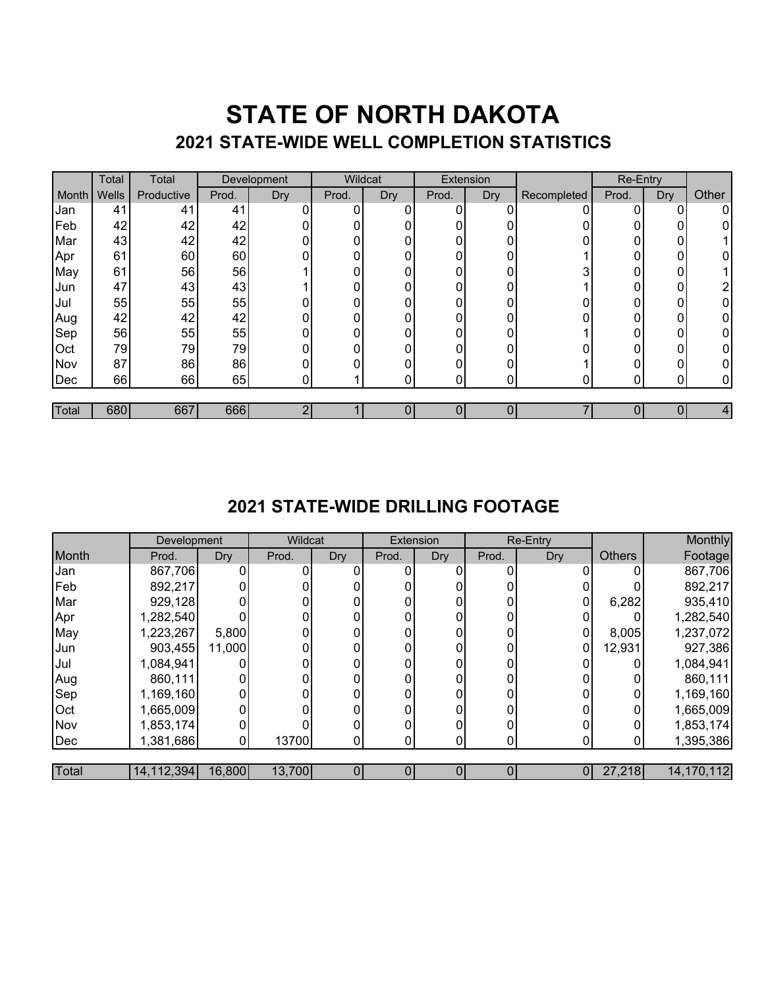### **STATE OF NORTH DAKOTA 2021 STATE-WIDE WELL COMPLETION STATISTICS**

|       | Total | Total      |       | Development | Wildcat |     | Extension      |            |             | Re-Entry |                  |       |
|-------|-------|------------|-------|-------------|---------|-----|----------------|------------|-------------|----------|------------------|-------|
| Month | Wells | Productive | Prod. | Dry         | Prod.   | Dry | Prod.          | <b>Dry</b> | Recompleted | Prod.    | Dry <sup>7</sup> | Other |
| Jan   | 41    | 41         | 41    |             | 0       | 0   | $\overline{0}$ |            |             | U        | 0                | 0     |
| Feb   | 42    | 42         | 42    | 0           |         |     | 0              |            |             |          | 0                | 0     |
| Mar   | 43    | 42         | 42    |             | ი       | 0   | 0              | U          |             | U        | 0                |       |
| Apr   | 61    | 60         | 60    |             | Ω       |     | 0              |            |             | $\Omega$ | 0                | 0     |
| May   | 61    | 56         | 56    |             |         |     | $\mathbf{0}$   | 0          |             |          | Ω                |       |
| Jun   | 47    | 43         | 43    |             | 0       | U   | 0              | U          |             | U        | 0                | ኅ     |
| Jul   | 55    | 55         | 55    |             | 0       |     | $\Omega$       | O          |             | 0        | 0                | 0     |
| Aug   | 42    | 42         | 42    |             | 0       | 0   | 0              | ი          |             | 0        | 0                | 0     |
| Sep   | 56    | 55         | 55    |             |         |     | $\Omega$       | 0          |             | $\Omega$ | 0                | 0     |
| Oct   | 79    | 79         | 79    |             | በ       |     | 0              | ∩          |             | U        | 0                | 0     |
| Nov   | 87    | 86         | 86    |             |         |     | 0              |            |             |          |                  | 0     |
| Dec   | 66    | 66         | 65    | 0           |         | 0   | $\mathbf{0}$   | 0          |             | $\Omega$ | 0                | 0     |
|       |       |            |       |             |         |     |                |            |             |          |                  |       |
| Total | 680   | 667        | 666   | ∩           |         |     |                | 0          |             |          |                  | 4     |

#### **2021 STATE-WIDE DRILLING FOOTAGE**

|       | Development  |        | Wildcat |     | Extension |            | Re-Entry |     |               | Monthly    |
|-------|--------------|--------|---------|-----|-----------|------------|----------|-----|---------------|------------|
| Month | Prod.        | Dry    | Prod.   | Dry | Prod.     | <b>Dry</b> | Prod.    | Dry | <b>Others</b> | Footage    |
| Jan   | 867,706      |        |         |     |           |            | $\Omega$ |     |               | 867,706    |
| Feb   | 892,217      |        |         |     |           |            |          |     |               | 892,217    |
| Mar   | 929,128      |        |         |     |           |            |          |     | 6,282         | 935,410    |
| Apr   | ,282,540     |        |         |     |           |            | 0        |     |               | 1,282,540  |
| May   | ,223,267     | 5,800  |         |     |           |            | 0        |     | 8,005         | 1,237,072  |
| Jun   | 903,455      | 11,000 |         |     |           |            |          |     | 12,931        | 927,386    |
| Jul   | 1,084,941    |        |         |     |           |            | 0        |     |               | 1,084,941  |
| Aug   | 860,111      |        |         |     |           |            | 0        |     |               | 860,111    |
| Sep   | 1,169,160    |        |         |     |           |            |          |     |               | 1,169,160  |
| Oct   | 665,009,     |        |         |     |           |            | 0        |     |               | 1,665,009  |
| Nov   | 1,853,174    |        |         |     |           |            | 0        |     |               | 1,853,174  |
| Dec   | 1,381,686    |        | 13700   | 01  |           |            | 0        |     |               | 1,395,386  |
|       |              |        |         |     |           |            |          |     |               |            |
| Total | 14, 112, 394 | 16,800 | 13,700  |     |           |            | 0        | 0   | 27,218        | 14,170,112 |